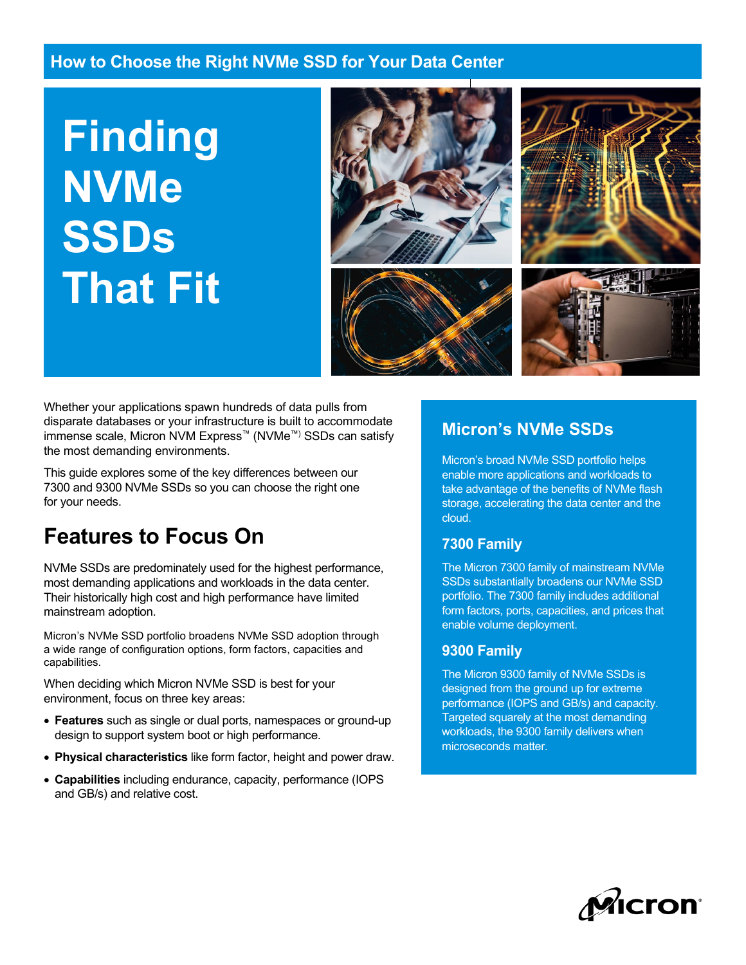**Finding NVMe SSDs That Fit**



Whether your applications spawn hundreds of data pulls from disparate databases or your infrastructure is built to accommodate immense scale, Micron NVM Express™ (NVMe™) SSDs can satisfy the most demanding environments.

This guide explores some of the key differences between our 7300 and 9300 NVMe SSDs so you can choose the right one for your needs.

# **Features to Focus On**

NVMe SSDs are predominately used for the highest performance, most demanding applications and workloads in the data center. Their historically high cost and high performance have limited mainstream adoption.

Micron's NVMe SSD portfolio broadens NVMe SSD adoption through a wide range of configuration options, form factors, capacities and capabilities.

When deciding which Micron NVMe SSD is best for your environment, focus on three key areas:

- **Features** such as single or dual ports, namespaces or ground-up design to support system boot or high performance.
- **Physical characteristics** like form factor, height and power draw.
- **Capabilities** including endurance, capacity, performance (IOPS and GB/s) and relative cost.

### **Micron's NVMe SSDs**

Micron's broad NVMe SSD portfolio helps enable more applications and workloads to take advantage of the benefits of NVMe flash storage, accelerating the data center and the cloud.

#### **7300 Family**

The Micron 7300 family of mainstream NVMe SSDs substantially broadens our NVMe SSD portfolio. The 7300 family includes additional form factors, ports, capacities, and prices that enable volume deployment.

#### **9300 Family**

The Micron 9300 family of NVMe SSDs is designed from the ground up for extreme performance (IOPS and GB/s) and capacity. Targeted squarely at the most demanding workloads, the 9300 family delivers when microseconds matter.

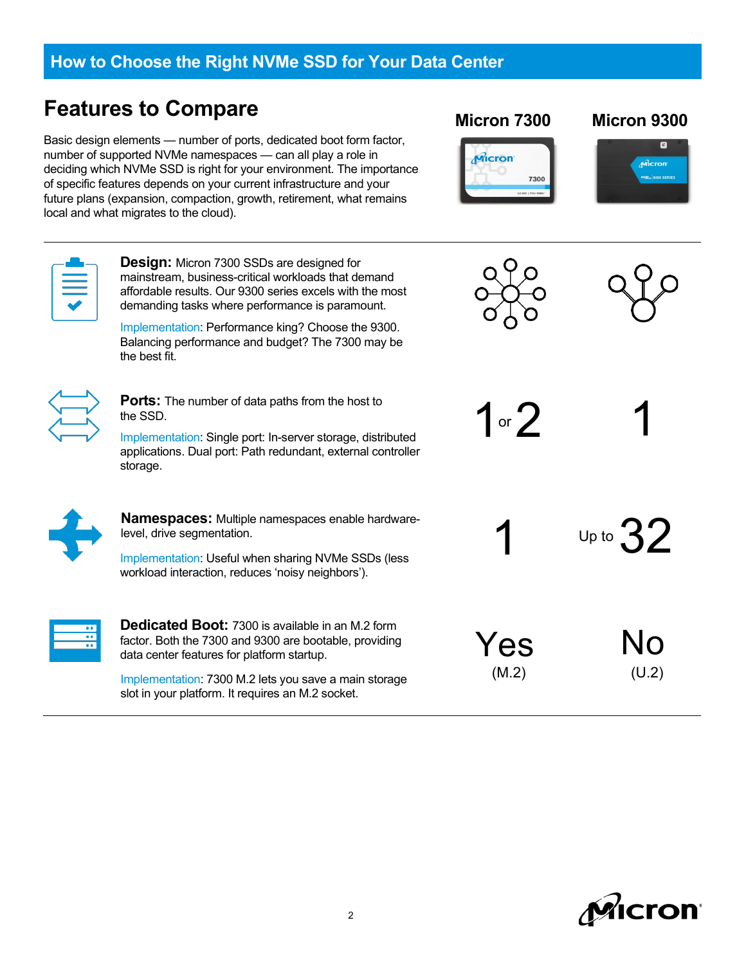## **Features to Compare**

Basic design elements — number of ports, dedicated boot form factor, number of supported NVMe namespaces — can all play a role in deciding which NVMe SSD is right for your environment. The importance of specific features depends on your current infrastructure and your future plans (expansion, compaction, growth, retirement, what remains local and what migrates to the cloud).



**Design:** Micron 7300 SSDs are designed for mainstream, business-critical workloads that demand affordable results. Our 9300 series excels with the most demanding tasks where performance is paramount.

Implementation: Performance king? Choose the 9300. Balancing performance and budget? The 7300 may be the best fit.



**Ports:** The number of data paths from the host to the SSD.

Implementation: Single port: In-server storage, distributed applications. Dual port: Path redundant, external controller storage.

**Namespaces:** Multiple namespaces enable hardwarelevel, drive segmentation.

Implementation: Useful when sharing NVMe SSDs (less workload interaction, reduces 'noisy neighbors').



**Dedicated Boot:** 7300 is available in an M.2 form factor. Both the 7300 and 9300 are bootable, providing data center features for platform startup.

Implementation: 7300 M.2 lets you save a main storage slot in your platform. It requires an M.2 socket.



#### **Micron 7300 Micron 9300**







1 or  $2$ 1

Up to  $32$ 

Yes No  $(M.2)$  (U.2)

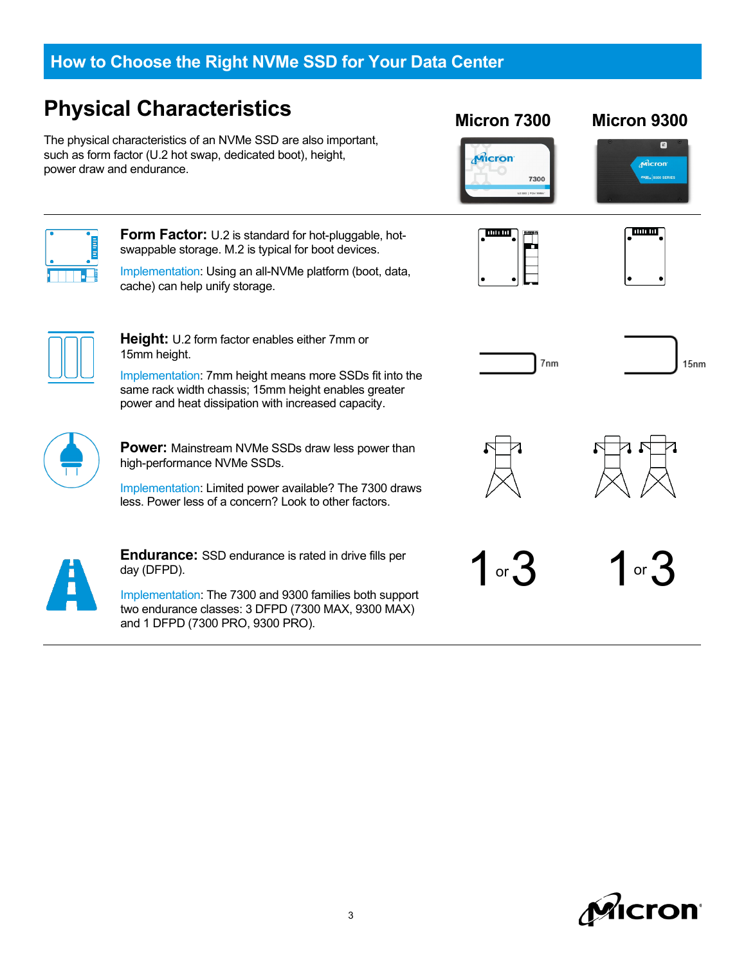## **Physical Characteristics**

The physical characteristics of an NVMe SSD are also important, such as form factor (U.2 hot swap, dedicated boot), height, power draw and endurance.



15mm height.

**Form Factor:** U.2 is standard for hot-pluggable, hotswappable storage. M.2 is typical for boot devices.

**Height:** U.2 form factor enables either 7mm or

Implementation: Using an all-NVMe platform (boot, data, cache) can help unify storage.



**Micron 7300 Micron 9300**



▣

Micron



 $15<sub>nm</sub>$ 



ТQ

**Power:** Mainstream NVMe SSDs draw less power than high-performance NVMe SSDs.

Implementation: 7mm height means more SSDs fit into the same rack width chassis; 15mm height enables greater power and heat dissipation with increased capacity.

Implementation: Limited power available? The 7300 draws less. Power less of a concern? Look to other factors.



**Endurance:** SSD endurance is rated in drive fills per day (DFPD).

Implementation: The 7300 and 9300 families both support two endurance classes: 3 DFPD (7300 MAX, 9300 MAX) and 1 DFPD (7300 PRO, 9300 PRO).





1 or  $3$  1 or  $3$